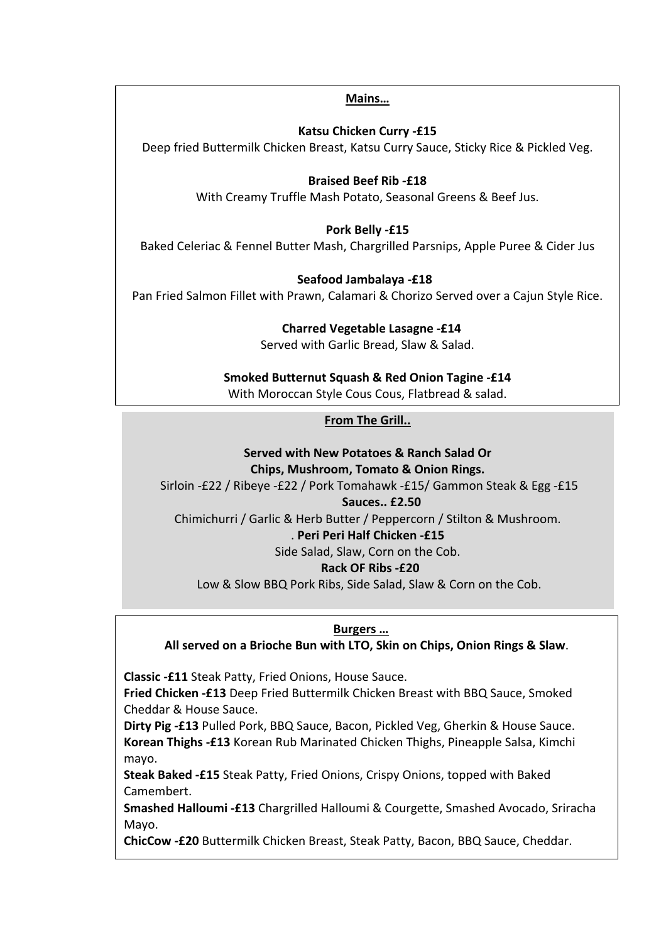#### **Mains…**

**Katsu Chicken Curry -£15**

Deep fried Buttermilk Chicken Breast, Katsu Curry Sauce, Sticky Rice & Pickled Veg.

## **Braised Beef Rib -£18**

With Creamy Truffle Mash Potato, Seasonal Greens & Beef Jus.

# **Pork Belly -£15**

Baked Celeriac & Fennel Butter Mash, Chargrilled Parsnips, Apple Puree & Cider Jus

# **Seafood Jambalaya -£18**

Pan Fried Salmon Fillet with Prawn, Calamari & Chorizo Served over a Cajun Style Rice.

# **Charred Vegetable Lasagne -£14**

Served with Garlic Bread, Slaw & Salad.

# **Smoked Butternut Squash & Red Onion Tagine -£14**

With Moroccan Style Cous Cous, Flatbread & salad.

# **From The Grill..**

#### **Served with New Potatoes & Ranch Salad Or Chips, Mushroom, Tomato & Onion Rings.**

Sirloin -£22 / Ribeye -£22 / Pork Tomahawk -£15/ Gammon Steak & Egg -£15

## **Sauces.. £2.50**

Chimichurri / Garlic & Herb Butter / Peppercorn / Stilton & Mushroom.

## . **Peri Peri Half Chicken -£15**

Side Salad, Slaw, Corn on the Cob.

## **Rack OF Ribs -£20**

Low & Slow BBQ Pork Ribs, Side Salad, Slaw & Corn on the Cob.

## **Burgers …**

**All served on a Brioche Bun with LTO, Skin on Chips, Onion Rings & Slaw**.

**Classic -£11** Steak Patty, Fried Onions, House Sauce.

**Fried Chicken -£13** Deep Fried Buttermilk Chicken Breast with BBQ Sauce, Smoked Cheddar & House Sauce.

**Dirty Pig -£13** Pulled Pork, BBQ Sauce, Bacon, Pickled Veg, Gherkin & House Sauce. **Korean Thighs -£13** Korean Rub Marinated Chicken Thighs, Pineapple Salsa, Kimchi mayo.

**Steak Baked -£15** Steak Patty, Fried Onions, Crispy Onions, topped with Baked Camembert.

**Smashed Halloumi -£13** Chargrilled Halloumi & Courgette, Smashed Avocado, Sriracha Mayo.

**ChicCow -£20** Buttermilk Chicken Breast, Steak Patty, Bacon, BBQ Sauce, Cheddar.